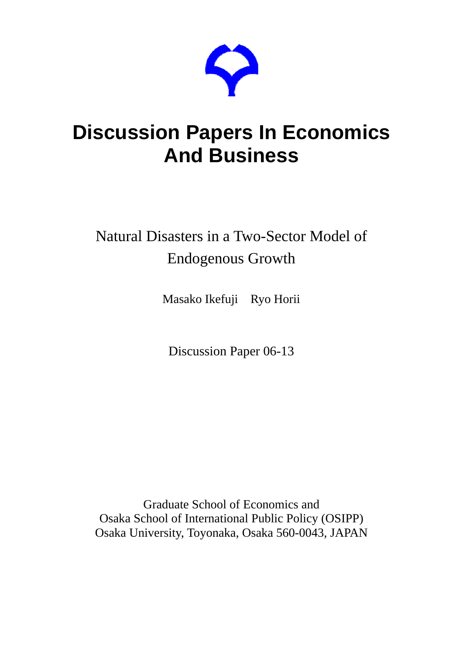

# **Discussion Papers In Economics And Business**

## Natural Disasters in a Two-Sector Model of Endogenous Growth

Masako Ikefuji Ryo Horii

Discussion Paper 06-13

Graduate School of Economics and Osaka School of International Public Policy (OSIPP) Osaka University, Toyonaka, Osaka 560-0043, JAPAN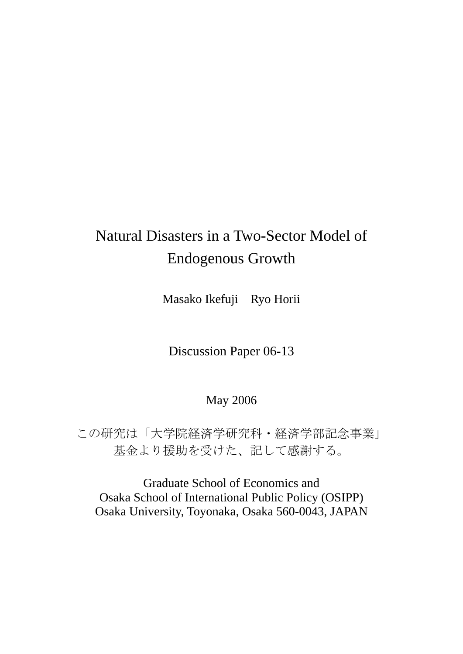## Natural Disasters in a Two-Sector Model of Endogenous Growth

Masako Ikefuji Ryo Horii

Discussion Paper 06-13

## May 2006

この研究は「大学院経済学研究科・経済学部記念事業」 基金より援助を受けた、記して感謝する。

Graduate School of Economics and Osaka School of International Public Policy (OSIPP) Osaka University, Toyonaka, Osaka 560-0043, JAPAN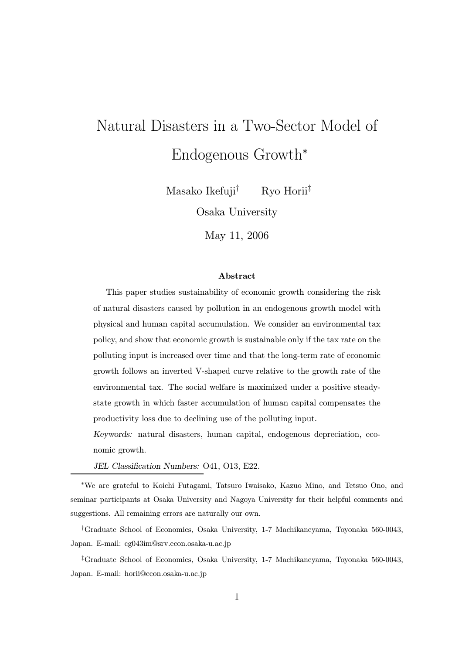# Natural Disasters in a Two-Sector Model of Endogenous Growth<sup>∗</sup>

Masako Ikefuji† Ryo Horii‡

Osaka University

May 11, 2006

#### Abstract

This paper studies sustainability of economic growth considering the risk of natural disasters caused by pollution in an endogenous growth model with physical and human capital accumulation. We consider an environmental tax policy, and show that economic growth is sustainable only if the tax rate on the polluting input is increased over time and that the long-term rate of economic growth follows an inverted V-shaped curve relative to the growth rate of the environmental tax. The social welfare is maximized under a positive steadystate growth in which faster accumulation of human capital compensates the productivity loss due to declining use of the polluting input.

Keywords: natural disasters, human capital, endogenous depreciation, economic growth.

JEL Classification Numbers: O41, O13, E22.

<sup>∗</sup>We are grateful to Koichi Futagami, Tatsuro Iwaisako, Kazuo Mino, and Tetsuo Ono, and seminar participants at Osaka University and Nagoya University for their helpful comments and suggestions. All remaining errors are naturally our own.

†Graduate School of Economics, Osaka University, 1-7 Machikaneyama, Toyonaka 560-0043, Japan. E-mail: cg043im@srv.econ.osaka-u.ac.jp

‡Graduate School of Economics, Osaka University, 1-7 Machikaneyama, Toyonaka 560-0043, Japan. E-mail: horii@econ.osaka-u.ac.jp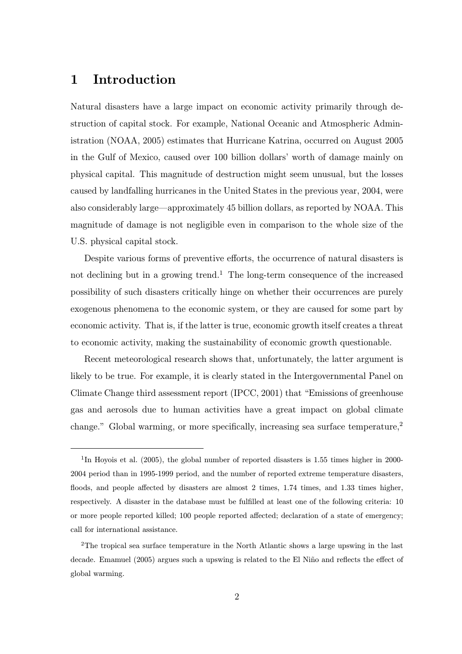## 1 Introduction

Natural disasters have a large impact on economic activity primarily through destruction of capital stock. For example, National Oceanic and Atmospheric Administration (NOAA, 2005) estimates that Hurricane Katrina, occurred on August 2005 in the Gulf of Mexico, caused over 100 billion dollars' worth of damage mainly on physical capital. This magnitude of destruction might seem unusual, but the losses caused by landfalling hurricanes in the United States in the previous year, 2004, were also considerably large–approximately 45 billion dollars, as reported by NOAA. This magnitude of damage is not negligible even in comparison to the whole size of the U.S. physical capital stock.

Despite various forms of preventive efforts, the occurrence of natural disasters is not declining but in a growing trend.<sup>1</sup> The long-term consequence of the increased possibility of such disasters critically hinge on whether their occurrences are purely exogenous phenomena to the economic system, or they are caused for some part by economic activity. That is, if the latter is true, economic growth itself creates a threat to economic activity, making the sustainability of economic growth questionable.

Recent meteorological research shows that, unfortunately, the latter argument is likely to be true. For example, it is clearly stated in the Intergovernmental Panel on Climate Change third assessment report (IPCC, 2001) that "Emissions of greenhouse gas and aerosols due to human activities have a great impact on global climate change." Global warming, or more specifically, increasing sea surface temperature,<sup>2</sup>

<sup>&</sup>lt;sup>1</sup>In Hoyois et al. (2005), the global number of reported disasters is 1.55 times higher in 2000-2004 period than in 1995-1999 period, and the number of reported extreme temperature disasters, floods, and people affected by disasters are almost 2 times, 1.74 times, and 1.33 times higher, respectively. A disaster in the database must be fulfilled at least one of the following criteria: 10 or more people reported killed; 100 people reported affected; declaration of a state of emergency; call for international assistance.

<sup>2</sup>The tropical sea surface temperature in the North Atlantic shows a large upswing in the last decade. Emamuel (2005) argues such a upswing is related to the El Niño and reflects the effect of global warming.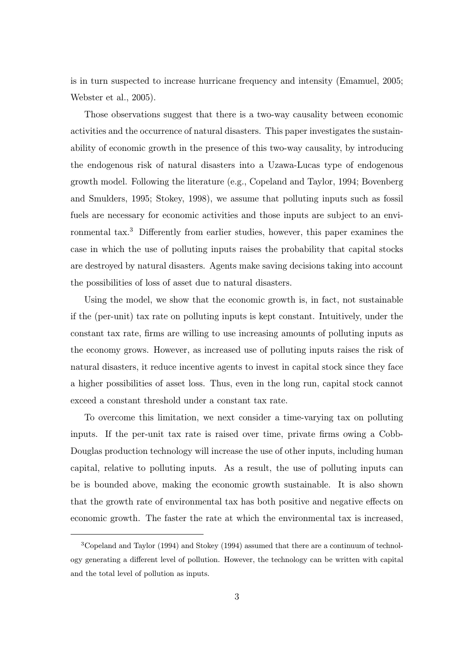is in turn suspected to increase hurricane frequency and intensity (Emamuel, 2005; Webster et al., 2005).

Those observations suggest that there is a two-way causality between economic activities and the occurrence of natural disasters. This paper investigates the sustainability of economic growth in the presence of this two-way causality, by introducing the endogenous risk of natural disasters into a Uzawa-Lucas type of endogenous growth model. Following the literature (e.g., Copeland and Taylor, 1994; Bovenberg and Smulders, 1995; Stokey, 1998), we assume that polluting inputs such as fossil fuels are necessary for economic activities and those inputs are subject to an environmental tax.<sup>3</sup> Differently from earlier studies, however, this paper examines the case in which the use of polluting inputs raises the probability that capital stocks are destroyed by natural disasters. Agents make saving decisions taking into account the possibilities of loss of asset due to natural disasters.

Using the model, we show that the economic growth is, in fact, not sustainable if the (per-unit) tax rate on polluting inputs is kept constant. Intuitively, under the constant tax rate, firms are willing to use increasing amounts of polluting inputs as the economy grows. However, as increased use of polluting inputs raises the risk of natural disasters, it reduce incentive agents to invest in capital stock since they face a higher possibilities of asset loss. Thus, even in the long run, capital stock cannot exceed a constant threshold under a constant tax rate.

To overcome this limitation, we next consider a time-varying tax on polluting inputs. If the per-unit tax rate is raised over time, private firms owing a Cobb-Douglas production technology will increase the use of other inputs, including human capital, relative to polluting inputs. As a result, the use of polluting inputs can be is bounded above, making the economic growth sustainable. It is also shown that the growth rate of environmental tax has both positive and negative effects on economic growth. The faster the rate at which the environmental tax is increased,

<sup>3</sup>Copeland and Taylor (1994) and Stokey (1994) assumed that there are a continuum of technology generating a different level of pollution. However, the technology can be written with capital and the total level of pollution as inputs.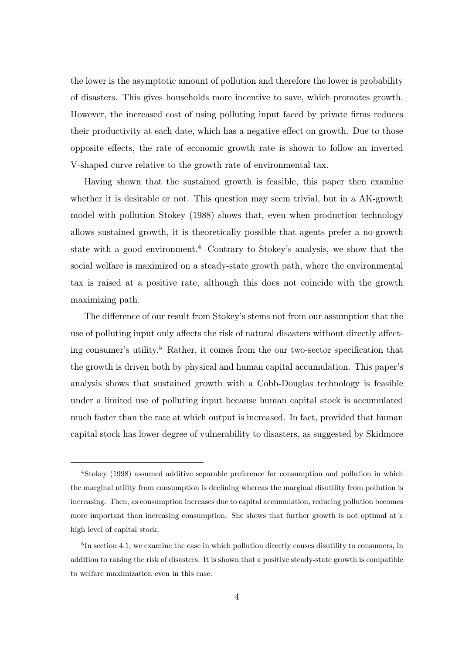the lower is the asymptotic amount of pollution and therefore the lower is probability of disasters. This gives households more incentive to save, which promotes growth. However, the increased cost of using polluting input faced by private firms reduces their productivity at each date, which has a negative effect on growth. Due to those opposite effects, the rate of economic growth rate is shown to follow an inverted V-shaped curve relative to the growth rate of environmental tax.

Having shown that the sustained growth is feasible, this paper then examine whether it is desirable or not. This question may seem trivial, but in a AK-growth model with pollution Stokey (1988) shows that, even when production technology allows sustained growth, it is theoretically possible that agents prefer a no-growth state with a good environment.<sup>4</sup> Contrary to Stokey's analysis, we show that the social welfare is maximized on a steady-state growth path, where the environmental tax is raised at a positive rate, although this does not coincide with the growth maximizing path.

The difference of our result from Stokey's stems not from our assumption that the use of polluting input only affects the risk of natural disasters without directly affecting consumer's utility.<sup>5</sup> Rather, it comes from the our two-sector specification that the growth is driven both by physical and human capital accumulation. This paper's analysis shows that sustained growth with a Cobb-Douglas technology is feasible under a limited use of polluting input because human capital stock is accumulated much faster than the rate at which output is increased. In fact, provided that human capital stock has lower degree of vulnerability to disasters, as suggested by Skidmore

<sup>4</sup>Stokey (1998) assumed additive separable preference for consumption and pollution in which the marginal utility from consumption is declining whereas the marginal disutility from pollution is increasing. Then, as consumption increases due to capital accumulation, reducing pollution becomes more important than increasing consumption. She shows that further growth is not optimal at a high level of capital stock.

<sup>&</sup>lt;sup>5</sup>In section 4.1, we examine the case in which pollution directly causes disutility to consumers, in addition to raising the risk of disasters. It is shown that a positive steady-state growth is compatible to welfare maximization even in this case.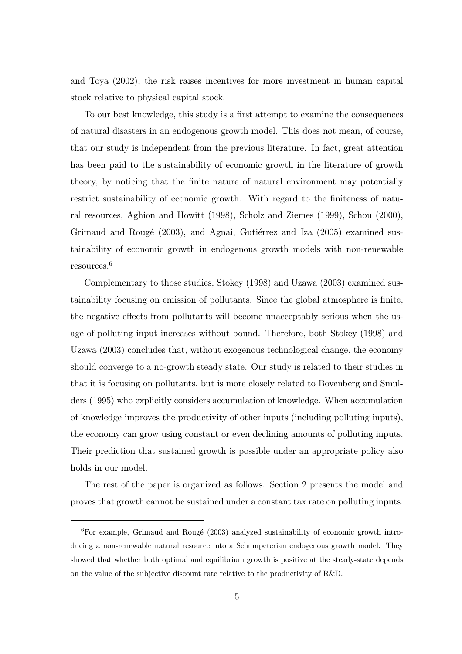and Toya (2002), the risk raises incentives for more investment in human capital stock relative to physical capital stock.

To our best knowledge, this study is a first attempt to examine the consequences of natural disasters in an endogenous growth model. This does not mean, of course, that our study is independent from the previous literature. In fact, great attention has been paid to the sustainability of economic growth in the literature of growth theory, by noticing that the finite nature of natural environment may potentially restrict sustainability of economic growth. With regard to the finiteness of natural resources, Aghion and Howitt (1998), Scholz and Ziemes (1999), Schou (2000), Grimaud and Rougé (2003), and Agnai, Gutiérrez and Iza (2005) examined sustainability of economic growth in endogenous growth models with non-renewable resources.<sup>6</sup>

Complementary to those studies, Stokey (1998) and Uzawa (2003) examined sustainability focusing on emission of pollutants. Since the global atmosphere is finite, the negative effects from pollutants will become unacceptably serious when the usage of polluting input increases without bound. Therefore, both Stokey (1998) and Uzawa (2003) concludes that, without exogenous technological change, the economy should converge to a no-growth steady state. Our study is related to their studies in that it is focusing on pollutants, but is more closely related to Bovenberg and Smulders (1995) who explicitly considers accumulation of knowledge. When accumulation of knowledge improves the productivity of other inputs (including polluting inputs), the economy can grow using constant or even declining amounts of polluting inputs. Their prediction that sustained growth is possible under an appropriate policy also holds in our model.

The rest of the paper is organized as follows. Section 2 presents the model and proves that growth cannot be sustained under a constant tax rate on polluting inputs.

<sup>&</sup>lt;sup>6</sup>For example, Grimaud and Rougé (2003) analyzed sustainability of economic growth introducing a non-renewable natural resource into a Schumpeterian endogenous growth model. They showed that whether both optimal and equilibrium growth is positive at the steady-state depends on the value of the subjective discount rate relative to the productivity of R&D.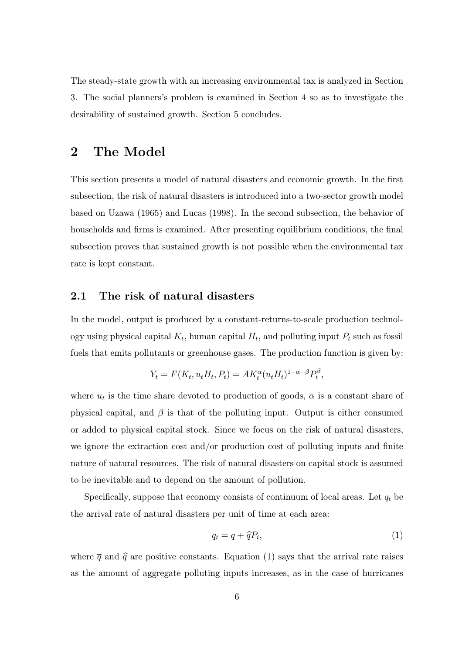The steady-state growth with an increasing environmental tax is analyzed in Section 3. The social planners's problem is examined in Section 4 so as to investigate the desirability of sustained growth. Section 5 concludes.

### 2 The Model

This section presents a model of natural disasters and economic growth. In the first subsection, the risk of natural disasters is introduced into a two-sector growth model based on Uzawa (1965) and Lucas (1998). In the second subsection, the behavior of households and firms is examined. After presenting equilibrium conditions, the final subsection proves that sustained growth is not possible when the environmental tax rate is kept constant.

#### 2.1 The risk of natural disasters

In the model, output is produced by a constant-returns-to-scale production technology using physical capital  $K_t$ , human capital  $H_t$ , and polluting input  $P_t$  such as fossil fuels that emits pollutants or greenhouse gases. The production function is given by:

$$
Y_t = F(K_t, u_t H_t, P_t) = A K_t^{\alpha} (u_t H_t)^{1-\alpha-\beta} P_t^{\beta},
$$

where  $u_t$  is the time share devoted to production of goods,  $\alpha$  is a constant share of physical capital, and  $\beta$  is that of the polluting input. Output is either consumed or added to physical capital stock. Since we focus on the risk of natural disasters, we ignore the extraction cost and/or production cost of polluting inputs and finite nature of natural resources. The risk of natural disasters on capital stock is assumed to be inevitable and to depend on the amount of pollution.

Specifically, suppose that economy consists of continuum of local areas. Let  $q_t$  be the arrival rate of natural disasters per unit of time at each area:

$$
q_t = \overline{q} + \widehat{q}P_t,\tag{1}
$$

where  $\overline{q}$  and  $\hat{q}$  are positive constants. Equation (1) says that the arrival rate raises as the amount of aggregate polluting inputs increases, as in the case of hurricanes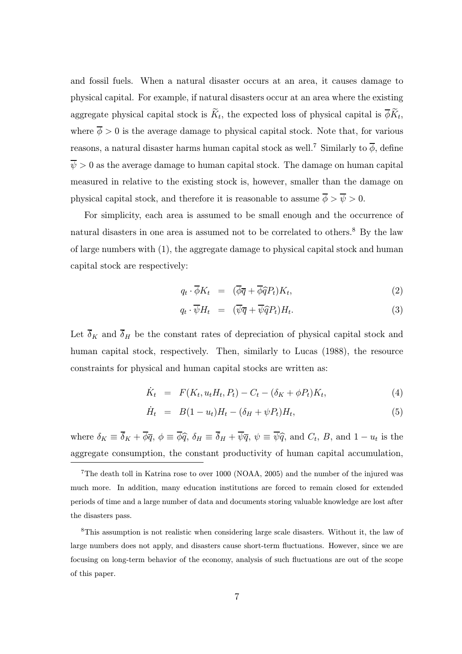and fossil fuels. When a natural disaster occurs at an area, it causes damage to physical capital. For example, if natural disasters occur at an area where the existing aggregate physical capital stock is  $\widetilde{K}_t$ , the expected loss of physical capital is  $\overline{\phi} \widetilde{K}_t$ , where  $\overline{\phi} > 0$  is the average damage to physical capital stock. Note that, for various reasons, a natural disaster harms human capital stock as well.<sup>7</sup> Similarly to  $\overline{\phi}$ , define  $\overline{\psi} > 0$  as the average damage to human capital stock. The damage on human capital measured in relative to the existing stock is, however, smaller than the damage on physical capital stock, and therefore it is reasonable to assume  $\overline{\phi} > \overline{\psi} > 0$ .

For simplicity, each area is assumed to be small enough and the occurrence of natural disasters in one area is assumed not to be correlated to others.<sup>8</sup> By the law of large numbers with (1), the aggregate damage to physical capital stock and human capital stock are respectively:

$$
q_t \cdot \overline{\phi} K_t = (\overline{\phi}\overline{q} + \overline{\phi}\widehat{q}P_t)K_t, \qquad (2)
$$

$$
q_t \cdot \overline{\psi} H_t = (\overline{\psi}\overline{q} + \overline{\psi}\widehat{q}P_t)H_t.
$$
\n(3)

Let  $\overline{\delta}_K$  and  $\overline{\delta}_H$  be the constant rates of depreciation of physical capital stock and human capital stock, respectively. Then, similarly to Lucas (1988), the resource constraints for physical and human capital stocks are written as:

$$
\dot{K}_t = F(K_t, u_t H_t, P_t) - C_t - (\delta_K + \phi P_t) K_t,
$$
\n(4)

$$
\dot{H}_t = B(1 - u_t)H_t - (\delta_H + \psi P_t)H_t,
$$
\n(5)

where  $\delta_K \equiv \overline{\delta}_K + \overline{\phi} \overline{q}$ ,  $\phi \equiv \overline{\phi} \hat{q}$ ,  $\delta_H \equiv \overline{\delta}_H + \overline{\psi} \overline{q}$ ,  $\psi \equiv \overline{\psi} \hat{q}$ , and  $C_t$ , B, and  $1 - u_t$  is the aggregate consumption, the constant productivity of human capital accumulation,

<sup>7</sup>The death toll in Katrina rose to over 1000 (NOAA, 2005) and the number of the injured was much more. In addition, many education institutions are forced to remain closed for extended periods of time and a large number of data and documents storing valuable knowledge are lost after the disasters pass.

<sup>8</sup>This assumption is not realistic when considering large scale disasters. Without it, the law of large numbers does not apply, and disasters cause short-term fluctuations. However, since we are focusing on long-term behavior of the economy, analysis of such fluctuations are out of the scope of this paper.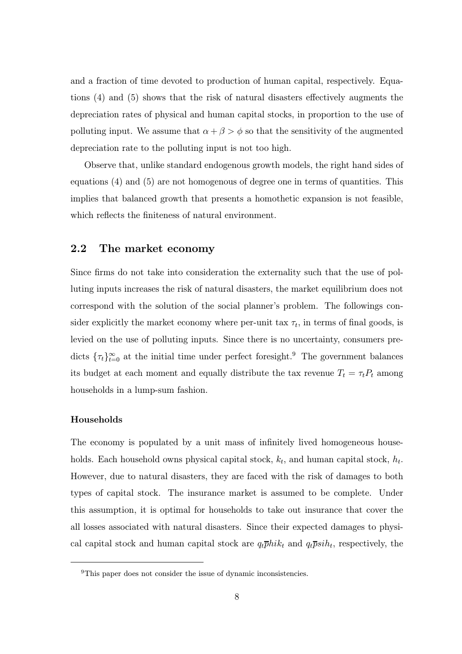and a fraction of time devoted to production of human capital, respectively. Equations (4) and (5) shows that the risk of natural disasters effectively augments the depreciation rates of physical and human capital stocks, in proportion to the use of polluting input. We assume that  $\alpha + \beta > \phi$  so that the sensitivity of the augmented depreciation rate to the polluting input is not too high.

Observe that, unlike standard endogenous growth models, the right hand sides of equations (4) and (5) are not homogenous of degree one in terms of quantities. This implies that balanced growth that presents a homothetic expansion is not feasible, which reflects the finiteness of natural environment.

#### 2.2 The market economy

Since firms do not take into consideration the externality such that the use of polluting inputs increases the risk of natural disasters, the market equilibrium does not correspond with the solution of the social planner's problem. The followings consider explicitly the market economy where per-unit tax  $\tau_t$ , in terms of final goods, is levied on the use of polluting inputs. Since there is no uncertainty, consumers predicts  $\{\tau_t\}_{t=0}^{\infty}$  at the initial time under perfect foresight.<sup>9</sup> The government balances its budget at each moment and equally distribute the tax revenue  $T_t = \tau_t P_t$  among households in a lump-sum fashion.

#### Households

The economy is populated by a unit mass of infinitely lived homogeneous households. Each household owns physical capital stock,  $k_t$ , and human capital stock,  $h_t$ . However, due to natural disasters, they are faced with the risk of damages to both types of capital stock. The insurance market is assumed to be complete. Under this assumption, it is optimal for households to take out insurance that cover the all losses associated with natural disasters. Since their expected damages to physical capital stock and human capital stock are  $q_t\bar{p}hik_t$  and  $q_t\bar{p}sih_t$ , respectively, the

<sup>&</sup>lt;sup>9</sup>This paper does not consider the issue of dynamic inconsistencies.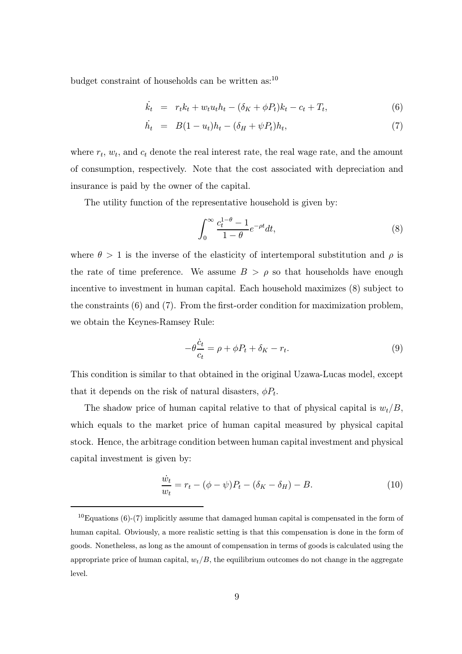budget constraint of households can be written as:<sup>10</sup>

$$
\dot{k}_t = r_t k_t + w_t u_t h_t - (\delta_K + \phi P_t) k_t - c_t + T_t, \tag{6}
$$

$$
\dot{h}_t = B(1 - u_t)h_t - (\delta_H + \psi P_t)h_t, \tag{7}
$$

where  $r_t$ ,  $w_t$ , and  $c_t$  denote the real interest rate, the real wage rate, and the amount of consumption, respectively. Note that the cost associated with depreciation and insurance is paid by the owner of the capital.

The utility function of the representative household is given by:

$$
\int_0^\infty \frac{c_t^{1-\theta} - 1}{1-\theta} e^{-\rho t} dt,\tag{8}
$$

where  $\theta > 1$  is the inverse of the elasticity of intertemporal substitution and  $\rho$  is the rate of time preference. We assume  $B > \rho$  so that households have enough incentive to investment in human capital. Each household maximizes (8) subject to the constraints (6) and (7). From the first-order condition for maximization problem, we obtain the Keynes-Ramsey Rule:

$$
-\theta \frac{\dot{c}_t}{c_t} = \rho + \phi P_t + \delta_K - r_t. \tag{9}
$$

This condition is similar to that obtained in the original Uzawa-Lucas model, except that it depends on the risk of natural disasters,  $\phi P_t$ .

The shadow price of human capital relative to that of physical capital is  $w_t/B$ , which equals to the market price of human capital measured by physical capital stock. Hence, the arbitrage condition between human capital investment and physical capital investment is given by:

$$
\frac{\dot{w}_t}{w_t} = r_t - (\phi - \psi)P_t - (\delta_K - \delta_H) - B.
$$
\n(10)

 $10E$ quations (6)-(7) implicitly assume that damaged human capital is compensated in the form of human capital. Obviously, a more realistic setting is that this compensation is done in the form of goods. Nonetheless, as long as the amount of compensation in terms of goods is calculated using the appropriate price of human capital,  $w_t/B$ , the equilibrium outcomes do not change in the aggregate level.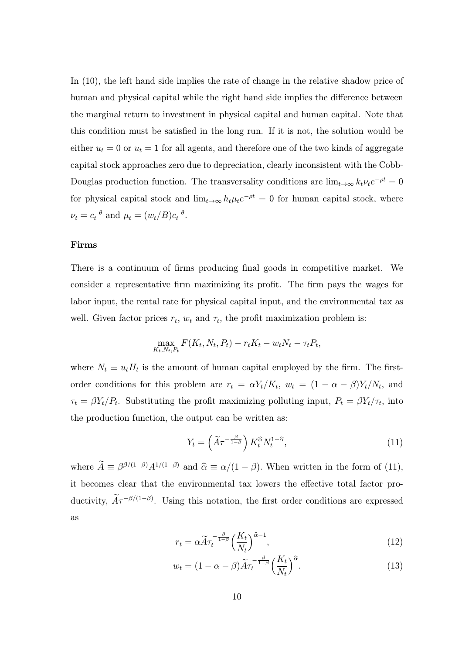In (10), the left hand side implies the rate of change in the relative shadow price of human and physical capital while the right hand side implies the difference between the marginal return to investment in physical capital and human capital. Note that this condition must be satisfied in the long run. If it is not, the solution would be either  $u_t = 0$  or  $u_t = 1$  for all agents, and therefore one of the two kinds of aggregate capital stock approaches zero due to depreciation, clearly inconsistent with the Cobb-Douglas production function. The transversality conditions are  $\lim_{t\to\infty} k_t \nu_t e^{-\rho t} = 0$ for physical capital stock and  $\lim_{t\to\infty} h_t\mu_t e^{-\rho t} = 0$  for human capital stock, where  $\nu_t = c_t^{-\theta}$  and  $\mu_t = (w_t/B)c_t^{-\theta}$ .

#### Firms

There is a continuum of firms producing final goods in competitive market. We consider a representative firm maximizing its profit. The firm pays the wages for labor input, the rental rate for physical capital input, and the environmental tax as well. Given factor prices  $r_t$ ,  $w_t$  and  $\tau_t$ , the profit maximization problem is:

$$
\max_{K_t, N_t, P_t} F(K_t, N_t, P_t) - r_t K_t - w_t N_t - \tau_t P_t,
$$

where  $N_t \equiv u_t H_t$  is the amount of human capital employed by the firm. The firstorder conditions for this problem are  $r_t = \alpha Y_t/K_t$ ,  $w_t = (1 - \alpha - \beta)Y_t/N_t$ , and  $\tau_t = \beta Y_t/P_t$ . Substituting the profit maximizing polluting input,  $P_t = \beta Y_t/\tau_t$ , into the production function, the output can be written as:

$$
Y_t = \left(\widetilde{A}\tau^{-\frac{\beta}{1-\beta}}\right) K_t^{\widehat{\alpha}} N_t^{1-\widehat{\alpha}},\tag{11}
$$

where  $\hat{A} \equiv \beta^{\beta/(1-\beta)} A^{1/(1-\beta)}$  and  $\hat{\alpha} \equiv \alpha/(1-\beta)$ . When written in the form of (11), it becomes clear that the environmental tax lowers the effective total factor productivity,  $A\tau^{-\beta/(1-\beta)}$ . Using this notation, the first order conditions are expressed as

$$
r_t = \alpha \widetilde{A} \tau_t^{-\frac{\beta}{1-\beta}} \left(\frac{K_t}{N_t}\right)^{\widehat{\alpha}-1},\tag{12}
$$

$$
w_t = (1 - \alpha - \beta)\widetilde{A}\tau_t^{-\frac{\beta}{1-\beta}} \left(\frac{K_t}{N_t}\right)^{\widehat{\alpha}}.\tag{13}
$$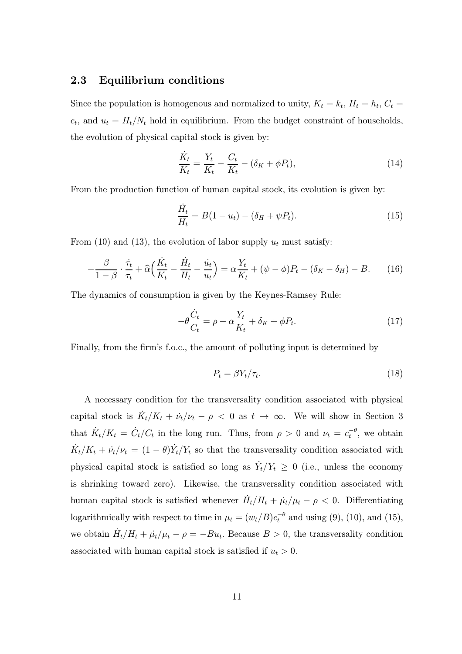#### 2.3 Equilibrium conditions

Since the population is homogenous and normalized to unity,  $K_t = k_t$ ,  $H_t = h_t$ ,  $C_t =$  $c_t$ , and  $u_t = H_t/N_t$  hold in equilibrium. From the budget constraint of households, the evolution of physical capital stock is given by:

$$
\frac{\dot{K}_t}{K_t} = \frac{Y_t}{K_t} - \frac{C_t}{K_t} - (\delta_K + \phi P_t),
$$
\n(14)

From the production function of human capital stock, its evolution is given by:

$$
\frac{\dot{H}_t}{H_t} = B(1 - u_t) - (\delta_H + \psi P_t).
$$
\n(15)

From (10) and (13), the evolution of labor supply  $u_t$  must satisfy:

$$
-\frac{\beta}{1-\beta} \cdot \frac{\dot{\tau}_t}{\tau_t} + \widehat{\alpha} \Big( \frac{\dot{K}_t}{K_t} - \frac{\dot{H}_t}{H_t} - \frac{\dot{u}_t}{u_t} \Big) = \alpha \frac{Y_t}{K_t} + (\psi - \phi) P_t - (\delta_K - \delta_H) - B. \tag{16}
$$

The dynamics of consumption is given by the Keynes-Ramsey Rule:

$$
-\theta \frac{\dot{C}_t}{C_t} = \rho - \alpha \frac{Y_t}{K_t} + \delta_K + \phi P_t.
$$
\n(17)

Finally, from the firm's f.o.c., the amount of polluting input is determined by

$$
P_t = \beta Y_t / \tau_t. \tag{18}
$$

A necessary condition for the transversality condition associated with physical capital stock is  $\dot{K}_t/K_t + \dot{\nu}_t/\nu_t - \rho < 0$  as  $t \to \infty$ . We will show in Section 3 that  $\dot{K}_t/K_t = \dot{C}_t/C_t$  in the long run. Thus, from  $\rho > 0$  and  $\nu_t = c_t^{-\theta}$ , we obtain  $\dot{K}_t/K_t + \dot{\nu}_t/\nu_t = (1 - \theta)\dot{Y}_t/Y_t$  so that the transversality condition associated with physical capital stock is satisfied so long as  $\dot{Y}_t/Y_t \geq 0$  (i.e., unless the economy is shrinking toward zero). Likewise, the transversality condition associated with human capital stock is satisfied whenever  $\dot{H}_t/H_t + \dot{\mu_t}/\mu_t - \rho < 0$ . Differentiating logarithmically with respect to time in  $\mu_t = (w_t/B)c_t^{-\theta}$  and using (9), (10), and (15), we obtain  $\dot{H}_t/H_t + \dot{\mu}_t/\mu_t - \rho = -Bu_t$ . Because  $B > 0$ , the transversality condition associated with human capital stock is satisfied if  $u_t > 0$ .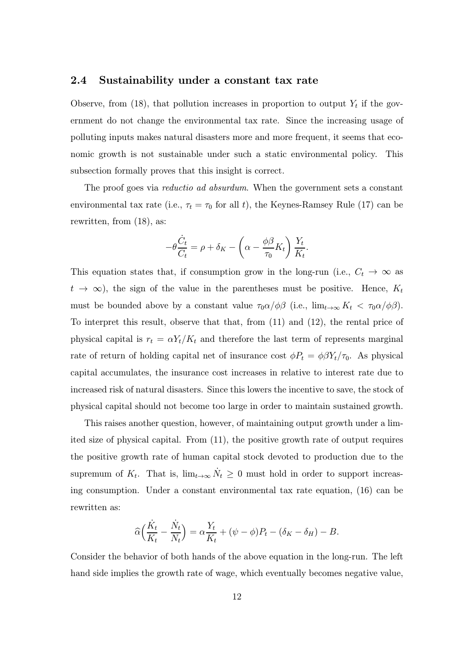#### 2.4 Sustainability under a constant tax rate

Observe, from (18), that pollution increases in proportion to output  $Y_t$  if the government do not change the environmental tax rate. Since the increasing usage of polluting inputs makes natural disasters more and more frequent, it seems that economic growth is not sustainable under such a static environmental policy. This subsection formally proves that this insight is correct.

The proof goes via *reductio ad absurdum*. When the government sets a constant environmental tax rate (i.e.,  $\tau_t = \tau_0$  for all t), the Keynes-Ramsey Rule (17) can be rewritten, from (18), as:

$$
-\theta \frac{\dot{C}_t}{C_t} = \rho + \delta_K - \left(\alpha - \frac{\phi \beta}{\tau_0} K_t\right) \frac{Y_t}{K_t}.
$$

This equation states that, if consumption grow in the long-run (i.e.,  $C_t \rightarrow \infty$  as  $t \to \infty$ ), the sign of the value in the parentheses must be positive. Hence,  $K_t$ must be bounded above by a constant value  $\tau_0 \alpha / \phi \beta$  (i.e.,  $\lim_{t\to\infty} K_t < \tau_0 \alpha / \phi \beta$ ). To interpret this result, observe that that, from (11) and (12), the rental price of physical capital is  $r_t = \alpha Y_t / K_t$  and therefore the last term of represents marginal rate of return of holding capital net of insurance cost  $\phi P_t = \phi \beta Y_t / \tau_0$ . As physical capital accumulates, the insurance cost increases in relative to interest rate due to increased risk of natural disasters. Since this lowers the incentive to save, the stock of physical capital should not become too large in order to maintain sustained growth.

This raises another question, however, of maintaining output growth under a limited size of physical capital. From (11), the positive growth rate of output requires the positive growth rate of human capital stock devoted to production due to the supremum of  $K_t$ . That is,  $\lim_{t\to\infty} \dot{N}_t \geq 0$  must hold in order to support increasing consumption. Under a constant environmental tax rate equation, (16) can be rewritten as:

$$
\widehat{\alpha}\Big(\frac{\dot{K}_t}{K_t} - \frac{\dot{N}_t}{N_t}\Big) = \alpha \frac{Y_t}{K_t} + (\psi - \phi)P_t - (\delta_K - \delta_H) - B.
$$

Consider the behavior of both hands of the above equation in the long-run. The left hand side implies the growth rate of wage, which eventually becomes negative value,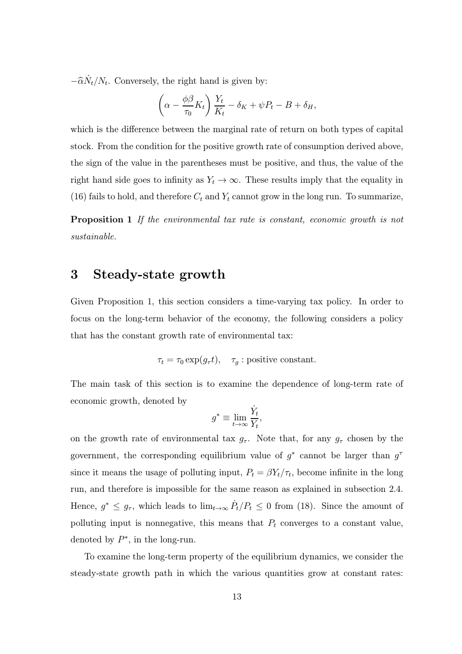$-\widehat{\alpha} \dot{N}_t / N_t$ . Conversely, the right hand is given by:

$$
\left(\alpha - \frac{\phi \beta}{\tau_0} K_t\right) \frac{Y_t}{K_t} - \delta_K + \psi P_t - B + \delta_H,
$$

which is the difference between the marginal rate of return on both types of capital stock. From the condition for the positive growth rate of consumption derived above, the sign of the value in the parentheses must be positive, and thus, the value of the right hand side goes to infinity as  $Y_t \to \infty$ . These results imply that the equality in (16) fails to hold, and therefore  $C_t$  and  $Y_t$  cannot grow in the long run. To summarize,

Proposition 1 If the environmental tax rate is constant, economic growth is not sustainable.

### 3 Steady-state growth

Given Proposition 1, this section considers a time-varying tax policy. In order to focus on the long-term behavior of the economy, the following considers a policy that has the constant growth rate of environmental tax:

 $\tau_t = \tau_0 \exp(g_\tau t), \quad \tau_g$ : positive constant.

The main task of this section is to examine the dependence of long-term rate of economic growth, denoted by

$$
g^* \equiv \lim_{t \to \infty} \frac{\dot{Y}_t}{Y_t},
$$

on the growth rate of environmental tax  $g_{\tau}$ . Note that, for any  $g_{\tau}$  chosen by the government, the corresponding equilibrium value of  $q^*$  cannot be larger than  $q^{\tau}$ since it means the usage of polluting input,  $P_t = \beta Y_t / \tau_t$ , become infinite in the long run, and therefore is impossible for the same reason as explained in subsection 2.4. Hence,  $g^* \leq g_{\tau}$ , which leads to  $\lim_{t\to\infty} \dot{P}_t/P_t \leq 0$  from (18). Since the amount of polluting input is nonnegative, this means that  $P_t$  converges to a constant value, denoted by  $P^*$ , in the long-run.

To examine the long-term property of the equilibrium dynamics, we consider the steady-state growth path in which the various quantities grow at constant rates: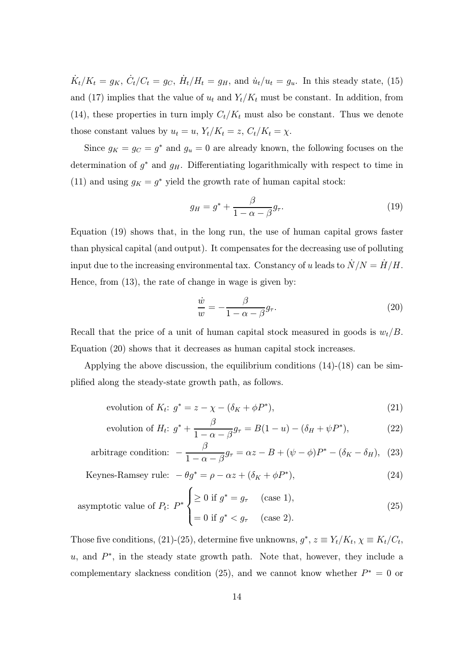$\dot{K}_t/K_t = g_K$ ,  $\dot{C}_t/C_t = g_C$ ,  $\dot{H}_t/H_t = g_H$ , and  $\dot{u}_t/u_t = g_u$ . In this steady state, (15) and (17) implies that the value of  $u_t$  and  $Y_t/K_t$  must be constant. In addition, from (14), these properties in turn imply  $C_t/K_t$  must also be constant. Thus we denote those constant values by  $u_t = u$ ,  $Y_t/K_t = z$ ,  $C_t/K_t = \chi$ .

Since  $g_K = g_C = g^*$  and  $g_u = 0$  are already known, the following focuses on the determination of  $g^*$  and  $g_H$ . Differentiating logarithmically with respect to time in (11) and using  $g_K = g^*$  yield the growth rate of human capital stock:

$$
g_H = g^* + \frac{\beta}{1 - \alpha - \beta} g_\tau. \tag{19}
$$

Equation (19) shows that, in the long run, the use of human capital grows faster than physical capital (and output). It compensates for the decreasing use of polluting input due to the increasing environmental tax. Constancy of u leads to  $\dot{N}/N = \dot{H}/H$ . Hence, from (13), the rate of change in wage is given by:

$$
\frac{\dot{w}}{w} = -\frac{\beta}{1 - \alpha - \beta} g_{\tau}.
$$
\n(20)

Recall that the price of a unit of human capital stock measured in goods is  $w_t/B$ . Equation (20) shows that it decreases as human capital stock increases.

Applying the above discussion, the equilibrium conditions  $(14)-(18)$  can be simplified along the steady-state growth path, as follows.

$$
\text{evolution of } K_t: \ g^* = z - \chi - (\delta_K + \phi P^*),\tag{21}
$$

$$
\text{evolution of } H_t: \ g^* + \frac{\beta}{1 - \alpha - \beta} g_\tau = B(1 - u) - (\delta_H + \psi P^*),\tag{22}
$$

arbitrage condition: 
$$
-\frac{\beta}{1-\alpha-\beta}g_{\tau} = \alpha z - B + (\psi - \phi)P^* - (\delta_K - \delta_H), \quad (23)
$$

Keywords-Ramsey rule: 
$$
-\theta g^* = \rho - \alpha z + (\delta_K + \phi P^*),
$$
 (24)

asymptotic value of 
$$
P_t
$$
:  $P^* \begin{cases} \geq 0 \text{ if } g^* = g_\tau \text{ (case 1)}, \\ = 0 \text{ if } g^* < g_\tau \text{ (case 2)}. \end{cases}$  (25)

Those five conditions, (21)-(25), determine five unknowns,  $g^*, z \equiv Y_t/K_t, \chi \equiv K_t/C_t$ , u, and  $P^*$ , in the steady state growth path. Note that, however, they include a complementary slackness condition (25), and we cannot know whether  $P^* = 0$  or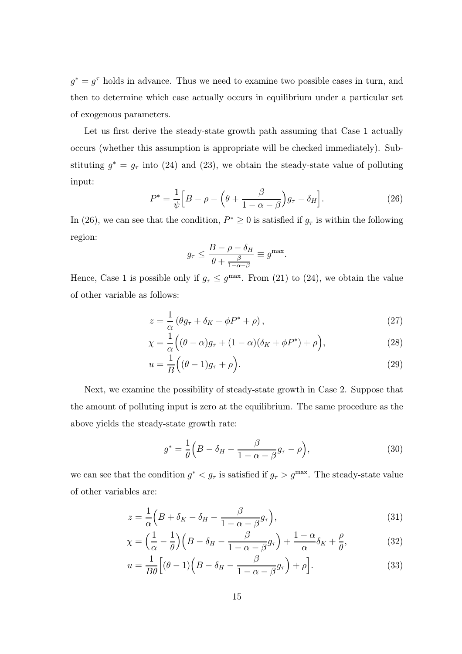$g^* = g^{\tau}$  holds in advance. Thus we need to examine two possible cases in turn, and then to determine which case actually occurs in equilibrium under a particular set of exogenous parameters.

Let us first derive the steady-state growth path assuming that Case 1 actually occurs (whether this assumption is appropriate will be checked immediately). Substituting  $g^* = g_\tau$  into (24) and (23), we obtain the steady-state value of polluting input:

$$
P^* = \frac{1}{\psi} \Big[ B - \rho - \left( \theta + \frac{\beta}{1 - \alpha - \beta} \right) g_\tau - \delta_H \Big]. \tag{26}
$$

In (26), we can see that the condition,  $P^* \geq 0$  is satisfied if  $g_{\tau}$  is within the following region:

$$
g_{\tau} \leq \frac{B - \rho - \delta_H}{\theta + \frac{\beta}{1 - \alpha - \beta}} \equiv g^{\max}.
$$

Hence, Case 1 is possible only if  $g_{\tau} \leq g^{\max}$ . From (21) to (24), we obtain the value of other variable as follows:

$$
z = \frac{1}{\alpha} \left( \theta g_{\tau} + \delta_K + \phi P^* + \rho \right), \tag{27}
$$

$$
\chi = \frac{1}{\alpha} \Big( (\theta - \alpha) g_{\tau} + (1 - \alpha) (\delta_K + \phi P^*) + \rho \Big), \tag{28}
$$

$$
u = \frac{1}{B} ((\theta - 1)g_{\tau} + \rho).
$$
\n(29)

Next, we examine the possibility of steady-state growth in Case 2. Suppose that the amount of polluting input is zero at the equilibrium. The same procedure as the above yields the steady-state growth rate:

$$
g^* = \frac{1}{\theta} \left( B - \delta_H - \frac{\beta}{1 - \alpha - \beta} g_\tau - \rho \right),\tag{30}
$$

we can see that the condition  $g^* < g_\tau$  is satisfied if  $g_\tau > g^{\text{max}}$ . The steady-state value of other variables are:

$$
z = \frac{1}{\alpha} \left( B + \delta_K - \delta_H - \frac{\beta}{1 - \alpha - \beta} g_\tau \right),\tag{31}
$$

$$
\chi = \left(\frac{1}{\alpha} - \frac{1}{\theta}\right)\left(B - \delta_H - \frac{\beta}{1 - \alpha - \beta}g_\tau\right) + \frac{1 - \alpha}{\alpha}\delta_K + \frac{\rho}{\theta},\tag{32}
$$

$$
u = \frac{1}{B\theta} \Big[ (\theta - 1) \Big( B - \delta_H - \frac{\beta}{1 - \alpha - \beta} g_\tau \Big) + \rho \Big]. \tag{33}
$$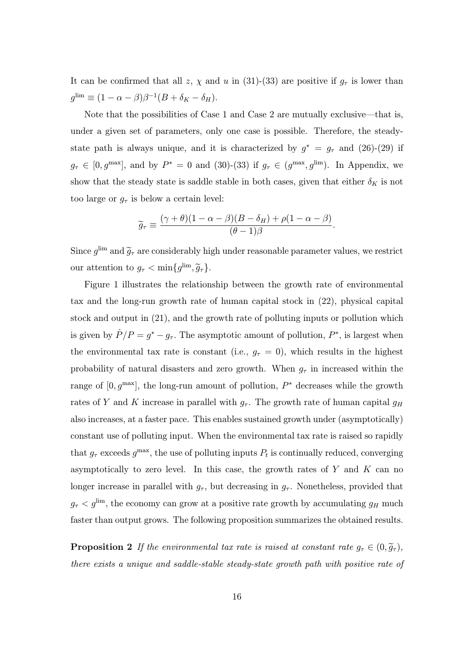It can be confirmed that all z,  $\chi$  and u in (31)-(33) are positive if  $g_{\tau}$  is lower than  $g^{\text{lim}} \equiv (1 - \alpha - \beta)\beta^{-1}(B + \delta_K - \delta_H).$ 

Note that the possibilities of Case 1 and Case 2 are mutually exclusive–that is, under a given set of parameters, only one case is possible. Therefore, the steadystate path is always unique, and it is characterized by  $g^* = g_{\tau}$  and (26)-(29) if  $g_{\tau} \in [0, g^{\max}]$ , and by  $P^* = 0$  and (30)-(33) if  $g_{\tau} \in (g^{\max}, g^{\lim})$ . In Appendix, we show that the steady state is saddle stable in both cases, given that either  $\delta_K$  is not too large or  $g_{\tau}$  is below a certain level:

$$
\widetilde{g}_{\tau} \equiv \frac{(\gamma + \theta)(1 - \alpha - \beta)(B - \delta_H) + \rho(1 - \alpha - \beta)}{(\theta - 1)\beta}.
$$

Since  $g^{\text{lim}}$  and  $\widetilde{g}_{\tau}$  are considerably high under reasonable parameter values, we restrict our attention to  $g_{\tau} < \min\{g^{\lim}, \tilde{g}_{\tau}\}.$ 

Figure 1 illustrates the relationship between the growth rate of environmental tax and the long-run growth rate of human capital stock in (22), physical capital stock and output in (21), and the growth rate of polluting inputs or pollution which is given by  $\dot{P}/P = g^* - g_\tau$ . The asymptotic amount of pollution,  $P^*$ , is largest when the environmental tax rate is constant (i.e.,  $g_{\tau} = 0$ ), which results in the highest probability of natural disasters and zero growth. When  $g<sub>\tau</sub>$  in increased within the range of  $[0, g^{\text{max}}]$ , the long-run amount of pollution,  $P^*$  decreases while the growth rates of Y and K increase in parallel with  $g_{\tau}$ . The growth rate of human capital  $g_H$ also increases, at a faster pace. This enables sustained growth under (asymptotically) constant use of polluting input. When the environmental tax rate is raised so rapidly that  $g_{\tau}$  exceeds  $g^{\text{max}}$ , the use of polluting inputs  $P_t$  is continually reduced, converging asymptotically to zero level. In this case, the growth rates of  $Y$  and  $K$  can no longer increase in parallel with  $g_{\tau}$ , but decreasing in  $g_{\tau}$ . Nonetheless, provided that  $g_{\tau} < g^{\text{lim}}$ , the economy can grow at a positive rate growth by accumulating  $g_H$  much faster than output grows. The following proposition summarizes the obtained results.

**Proposition 2** If the environmental tax rate is raised at constant rate  $g_\tau \in (0, \tilde{g}_\tau)$ , there exists a unique and saddle-stable steady-state growth path with positive rate of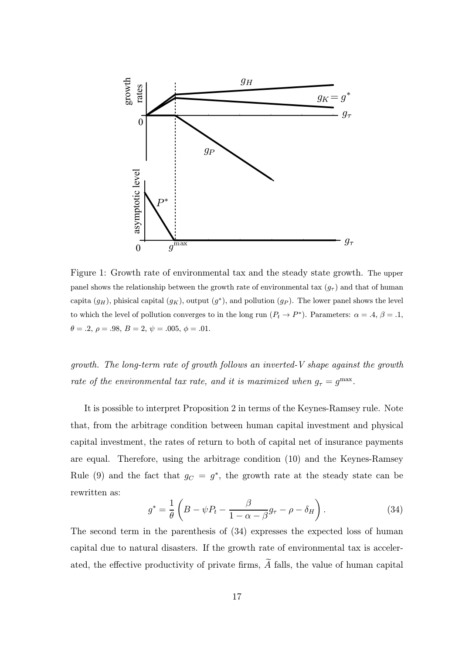

Figure 1: Growth rate of environmental tax and the steady state growth. The upper panel shows the relationship between the growth rate of environmental tax  $(g<sub>\tau</sub>)$  and that of human capita  $(g_H)$ , phisical capital  $(g_K)$ , output  $(g^*)$ , and pollution  $(g_P)$ . The lower panel shows the level to which the level of pollution converges to in the long run  $(P_t \to P^*)$ . Parameters:  $\alpha = .4, \beta = .1$ ,  $\theta = .2, \, \rho = .98, \, B = 2, \, \psi = .005, \, \phi = .01.$ 

growth. The long-term rate of growth follows an inverted-V shape against the growth rate of the environmental tax rate, and it is maximized when  $g_{\tau} = g^{\max}$ .

It is possible to interpret Proposition 2 in terms of the Keynes-Ramsey rule. Note that, from the arbitrage condition between human capital investment and physical capital investment, the rates of return to both of capital net of insurance payments are equal. Therefore, using the arbitrage condition (10) and the Keynes-Ramsey Rule (9) and the fact that  $g_C = g^*$ , the growth rate at the steady state can be rewritten as:

$$
g^* = \frac{1}{\theta} \left( B - \psi P_t - \frac{\beta}{1 - \alpha - \beta} g_\tau - \rho - \delta_H \right). \tag{34}
$$

The second term in the parenthesis of (34) expresses the expected loss of human capital due to natural disasters. If the growth rate of environmental tax is accelerated, the effective productivity of private firms,  $\widetilde{A}$  falls, the value of human capital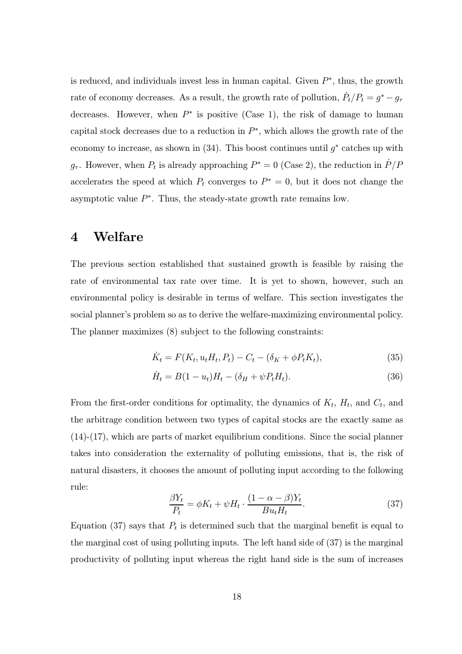is reduced, and individuals invest less in human capital. Given  $P^*$ , thus, the growth rate of economy decreases. As a result, the growth rate of pollution,  $\dot{P}_t/P_t = g^* - g_\tau$ decreases. However, when  $P^*$  is positive (Case 1), the risk of damage to human capital stock decreases due to a reduction in  $P^*$ , which allows the growth rate of the economy to increase, as shown in  $(34)$ . This boost continues until  $g^*$  catches up with  $g_{\tau}$ . However, when  $P_t$  is already approaching  $P^* = 0$  (Case 2), the reduction in  $\dot{P}/P$ accelerates the speed at which  $P_t$  converges to  $P^* = 0$ , but it does not change the asymptotic value  $P^*$ . Thus, the steady-state growth rate remains low.

## 4 Welfare

The previous section established that sustained growth is feasible by raising the rate of environmental tax rate over time. It is yet to shown, however, such an environmental policy is desirable in terms of welfare. This section investigates the social planner's problem so as to derive the welfare-maximizing environmental policy. The planner maximizes (8) subject to the following constraints:

$$
\dot{K}_t = F(K_t, u_t H_t, P_t) - C_t - (\delta_K + \phi P_t K_t),
$$
\n(35)

$$
\dot{H}_t = B(1 - u_t)H_t - (\delta_H + \psi P_t H_t).
$$
\n(36)

From the first-order conditions for optimality, the dynamics of  $K_t$ ,  $H_t$ , and  $C_t$ , and the arbitrage condition between two types of capital stocks are the exactly same as (14)-(17), which are parts of market equilibrium conditions. Since the social planner takes into consideration the externality of polluting emissions, that is, the risk of natural disasters, it chooses the amount of polluting input according to the following rule:

$$
\frac{\beta Y_t}{P_t} = \phi K_t + \psi H_t \cdot \frac{(1 - \alpha - \beta)Y_t}{B u_t H_t}.
$$
\n(37)

Equation (37) says that  $P_t$  is determined such that the marginal benefit is equal to the marginal cost of using polluting inputs. The left hand side of (37) is the marginal productivity of polluting input whereas the right hand side is the sum of increases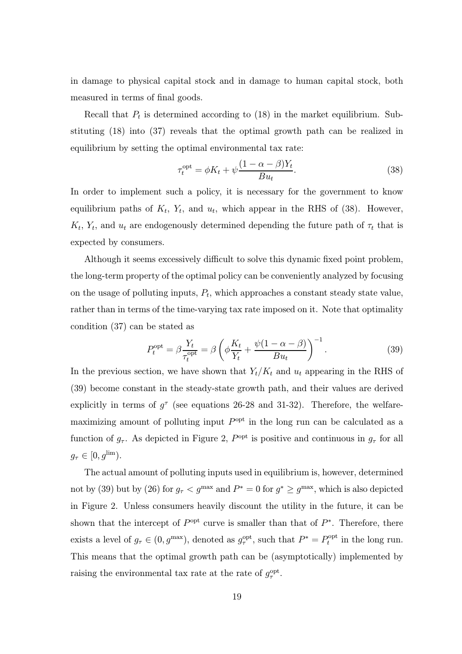in damage to physical capital stock and in damage to human capital stock, both measured in terms of final goods.

Recall that  $P_t$  is determined according to (18) in the market equilibrium. Substituting (18) into (37) reveals that the optimal growth path can be realized in equilibrium by setting the optimal environmental tax rate:

$$
\tau_t^{\text{opt}} = \phi K_t + \psi \frac{(1 - \alpha - \beta)Y_t}{B u_t}.
$$
\n(38)

In order to implement such a policy, it is necessary for the government to know equilibrium paths of  $K_t$ ,  $Y_t$ , and  $u_t$ , which appear in the RHS of (38). However,  $K_t$ ,  $Y_t$ , and  $u_t$  are endogenously determined depending the future path of  $\tau_t$  that is expected by consumers.

Although it seems excessively difficult to solve this dynamic fixed point problem, the long-term property of the optimal policy can be conveniently analyzed by focusing on the usage of polluting inputs,  $P_t$ , which approaches a constant steady state value, rather than in terms of the time-varying tax rate imposed on it. Note that optimality condition (37) can be stated as

$$
P_t^{\text{opt}} = \beta \frac{Y_t}{\tau_t^{\text{opt}}} = \beta \left( \phi \frac{K_t}{Y_t} + \frac{\psi(1 - \alpha - \beta)}{Bu_t} \right)^{-1}.
$$
 (39)

In the previous section, we have shown that  $Y_t/K_t$  and  $u_t$  appearing in the RHS of (39) become constant in the steady-state growth path, and their values are derived explicitly in terms of  $q^{\tau}$  (see equations 26-28 and 31-32). Therefore, the welfaremaximizing amount of polluting input  $P^{\text{opt}}$  in the long run can be calculated as a function of  $g_{\tau}$ . As depicted in Figure 2,  $P^{\text{opt}}$  is positive and continuous in  $g_{\tau}$  for all  $g_{\tau} \in [0, g^{\text{lim}}).$ 

The actual amount of polluting inputs used in equilibrium is, however, determined not by (39) but by (26) for  $g_{\tau} < g^{\max}$  and  $P^* = 0$  for  $g^* \ge g^{\max}$ , which is also depicted in Figure 2. Unless consumers heavily discount the utility in the future, it can be shown that the intercept of  $P^{\text{opt}}$  curve is smaller than that of  $P^*$ . Therefore, there exists a level of  $g_{\tau} \in (0, g^{\max})$ , denoted as  $g_{\tau}^{\text{opt}}$ , such that  $P^* = P_t^{\text{opt}}$  in the long run. This means that the optimal growth path can be (asymptotically) implemented by raising the environmental tax rate at the rate of  $g_{\tau}^{\text{opt}}$ .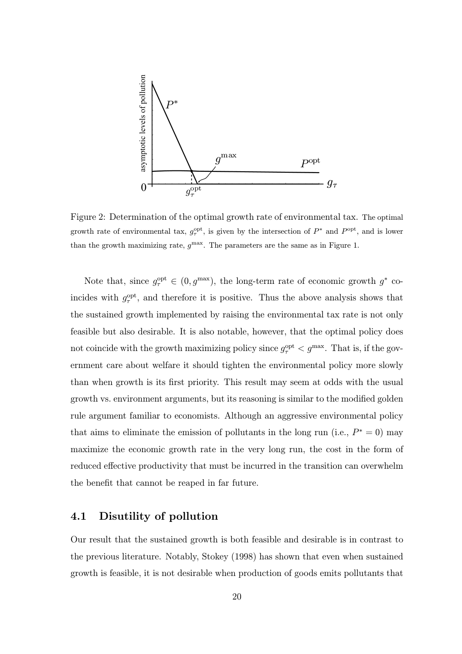

Figure 2: Determination of the optimal growth rate of environmental tax. The optimal growth rate of environmental tax,  $g_{\tau}^{\text{opt}}$ , is given by the intersection of  $P^*$  and  $P^{\text{opt}}$ , and is lower than the growth maximizing rate,  $q^{\text{max}}$ . The parameters are the same as in Figure 1.

Note that, since  $g_{\tau}^{\text{opt}} \in (0, g^{\text{max}})$ , the long-term rate of economic growth  $g^*$  coincides with  $g_{\tau}^{\text{opt}}$ , and therefore it is positive. Thus the above analysis shows that the sustained growth implemented by raising the environmental tax rate is not only feasible but also desirable. It is also notable, however, that the optimal policy does not coincide with the growth maximizing policy since  $g_{\tau}^{\text{opt}} < g^{\text{max}}$ . That is, if the government care about welfare it should tighten the environmental policy more slowly than when growth is its first priority. This result may seem at odds with the usual growth vs. environment arguments, but its reasoning is similar to the modified golden rule argument familiar to economists. Although an aggressive environmental policy that aims to eliminate the emission of pollutants in the long run (i.e.,  $P^* = 0$ ) may maximize the economic growth rate in the very long run, the cost in the form of reduced effective productivity that must be incurred in the transition can overwhelm the benefit that cannot be reaped in far future.

#### 4.1 Disutility of pollution

Our result that the sustained growth is both feasible and desirable is in contrast to the previous literature. Notably, Stokey (1998) has shown that even when sustained growth is feasible, it is not desirable when production of goods emits pollutants that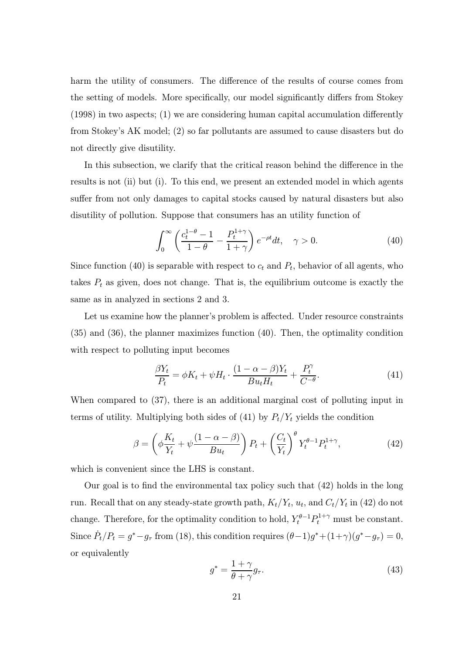harm the utility of consumers. The difference of the results of course comes from the setting of models. More specifically, our model significantly differs from Stokey (1998) in two aspects; (1) we are considering human capital accumulation differently from Stokey's AK model; (2) so far pollutants are assumed to cause disasters but do not directly give disutility.

In this subsection, we clarify that the critical reason behind the difference in the results is not (ii) but (i). To this end, we present an extended model in which agents suffer from not only damages to capital stocks caused by natural disasters but also disutility of pollution. Suppose that consumers has an utility function of

$$
\int_0^\infty \left( \frac{c_t^{1-\theta} - 1}{1-\theta} - \frac{P_t^{1+\gamma}}{1+\gamma} \right) e^{-\rho t} dt, \quad \gamma > 0.
$$
 (40)

Since function (40) is separable with respect to  $c_t$  and  $P_t$ , behavior of all agents, who takes  $P_t$  as given, does not change. That is, the equilibrium outcome is exactly the same as in analyzed in sections 2 and 3.

Let us examine how the planner's problem is affected. Under resource constraints (35) and (36), the planner maximizes function (40). Then, the optimality condition with respect to polluting input becomes

$$
\frac{\beta Y_t}{P_t} = \phi K_t + \psi H_t \cdot \frac{(1 - \alpha - \beta)Y_t}{B u_t H_t} + \frac{P_t^{\gamma}}{C^{-\theta}}.
$$
\n(41)

When compared to (37), there is an additional marginal cost of polluting input in terms of utility. Multiplying both sides of (41) by  $P_t/Y_t$  yields the condition

$$
\beta = \left(\phi \frac{K_t}{Y_t} + \psi \frac{(1 - \alpha - \beta)}{Bu_t}\right) P_t + \left(\frac{C_t}{Y_t}\right)^{\theta} Y_t^{\theta - 1} P_t^{1 + \gamma},\tag{42}
$$

which is convenient since the LHS is constant.

Our goal is to find the environmental tax policy such that (42) holds in the long run. Recall that on any steady-state growth path,  $K_t/Y_t$ ,  $u_t$ , and  $C_t/Y_t$  in (42) do not change. Therefore, for the optimality condition to hold,  $Y_t^{\theta-1} P_t^{1+\gamma}$  must be constant. Since  $\dot{P}_t/P_t = g^* - g_\tau$  from (18), this condition requires  $(\theta - 1)g^* + (1 + \gamma)(g^* - g_\tau) = 0$ , or equivalently

$$
g^* = \frac{1+\gamma}{\theta+\gamma}g_\tau.
$$
\n(43)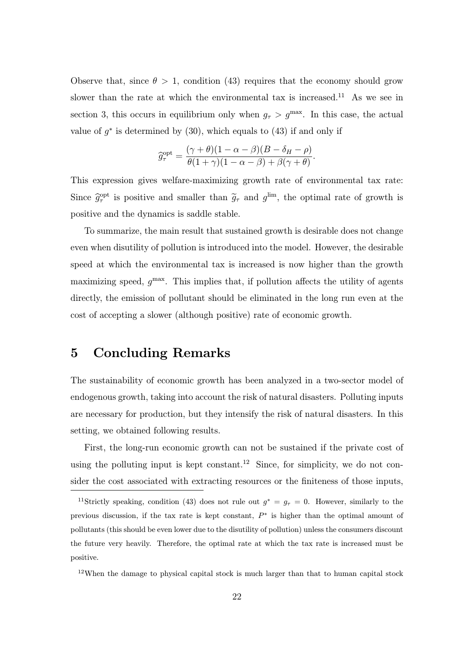Observe that, since  $\theta > 1$ , condition (43) requires that the economy should grow slower than the rate at which the environmental tax is increased.<sup>11</sup> As we see in section 3, this occurs in equilibrium only when  $g_{\tau} > g^{\max}$ . In this case, the actual value of  $g^*$  is determined by (30), which equals to (43) if and only if

$$
\widehat{g}_{\tau}^{\text{opt}} = \frac{(\gamma + \theta)(1 - \alpha - \beta)(B - \delta_H - \rho)}{\theta(1 + \gamma)(1 - \alpha - \beta) + \beta(\gamma + \theta)}.
$$

This expression gives welfare-maximizing growth rate of environmental tax rate: Since  $\hat{g}^{\text{opt}}_{\tau}$  is positive and smaller than  $\tilde{g}_{\tau}$  and  $g^{\text{lim}}$ , the optimal rate of growth is positive and the dynamics is saddle stable.

To summarize, the main result that sustained growth is desirable does not change even when disutility of pollution is introduced into the model. However, the desirable speed at which the environmental tax is increased is now higher than the growth maximizing speed,  $g^{\text{max}}$ . This implies that, if pollution affects the utility of agents directly, the emission of pollutant should be eliminated in the long run even at the cost of accepting a slower (although positive) rate of economic growth.

## 5 Concluding Remarks

The sustainability of economic growth has been analyzed in a two-sector model of endogenous growth, taking into account the risk of natural disasters. Polluting inputs are necessary for production, but they intensify the risk of natural disasters. In this setting, we obtained following results.

First, the long-run economic growth can not be sustained if the private cost of using the polluting input is kept constant.<sup>12</sup> Since, for simplicity, we do not consider the cost associated with extracting resources or the finiteness of those inputs,

<sup>&</sup>lt;sup>11</sup>Strictly speaking, condition (43) does not rule out  $g^* = g_\tau = 0$ . However, similarly to the previous discussion, if the tax rate is kept constant, P<sup>∗</sup> is higher than the optimal amount of pollutants (this should be even lower due to the disutility of pollution) unless the consumers discount the future very heavily. Therefore, the optimal rate at which the tax rate is increased must be positive.

<sup>12</sup>When the damage to physical capital stock is much larger than that to human capital stock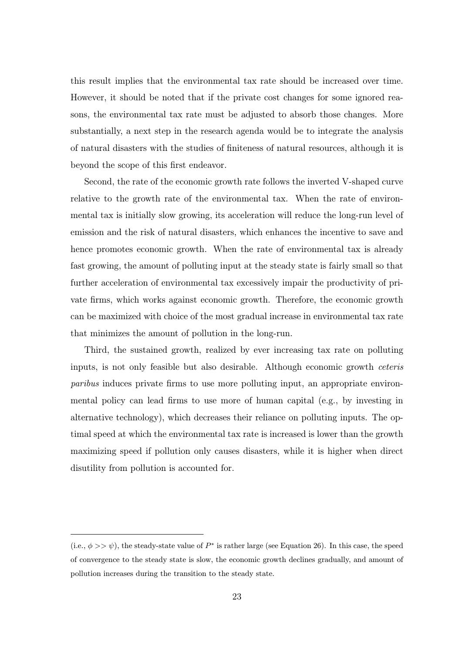this result implies that the environmental tax rate should be increased over time. However, it should be noted that if the private cost changes for some ignored reasons, the environmental tax rate must be adjusted to absorb those changes. More substantially, a next step in the research agenda would be to integrate the analysis of natural disasters with the studies of finiteness of natural resources, although it is beyond the scope of this first endeavor.

Second, the rate of the economic growth rate follows the inverted V-shaped curve relative to the growth rate of the environmental tax. When the rate of environmental tax is initially slow growing, its acceleration will reduce the long-run level of emission and the risk of natural disasters, which enhances the incentive to save and hence promotes economic growth. When the rate of environmental tax is already fast growing, the amount of polluting input at the steady state is fairly small so that further acceleration of environmental tax excessively impair the productivity of private firms, which works against economic growth. Therefore, the economic growth can be maximized with choice of the most gradual increase in environmental tax rate that minimizes the amount of pollution in the long-run.

Third, the sustained growth, realized by ever increasing tax rate on polluting inputs, is not only feasible but also desirable. Although economic growth ceteris paribus induces private firms to use more polluting input, an appropriate environmental policy can lead firms to use more of human capital (e.g., by investing in alternative technology), which decreases their reliance on polluting inputs. The optimal speed at which the environmental tax rate is increased is lower than the growth maximizing speed if pollution only causes disasters, while it is higher when direct disutility from pollution is accounted for.

<sup>(</sup>i.e.,  $\phi >> \psi$ ), the steady-state value of  $P^*$  is rather large (see Equation 26). In this case, the speed of convergence to the steady state is slow, the economic growth declines gradually, and amount of pollution increases during the transition to the steady state.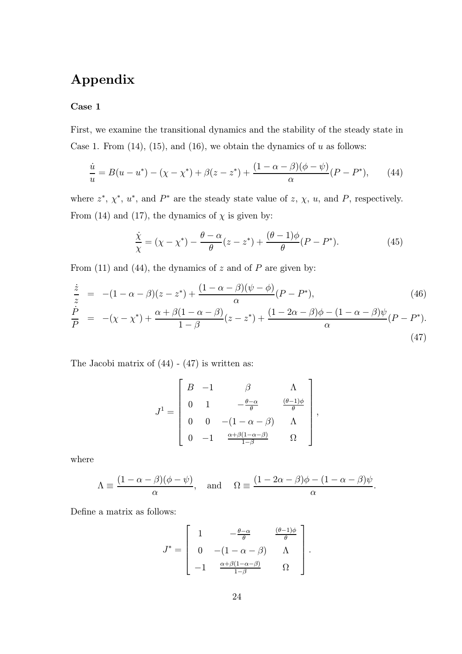## Appendix

#### Case 1

First, we examine the transitional dynamics and the stability of the steady state in Case 1. From  $(14)$ ,  $(15)$ , and  $(16)$ , we obtain the dynamics of u as follows:

$$
\frac{\dot{u}}{u} = B(u - u^*) - (\chi - \chi^*) + \beta(z - z^*) + \frac{(1 - \alpha - \beta)(\phi - \psi)}{\alpha}(P - P^*),\tag{44}
$$

where  $z^*$ ,  $\chi^*$ ,  $u^*$ , and  $P^*$  are the steady state value of  $z$ ,  $\chi$ ,  $u$ , and  $P$ , respectively. From (14) and (17), the dynamics of  $\chi$  is given by:

$$
\frac{\dot{\chi}}{\chi} = (\chi - \chi^*) - \frac{\theta - \alpha}{\theta} (z - z^*) + \frac{(\theta - 1)\phi}{\theta} (P - P^*). \tag{45}
$$

From (11) and (44), the dynamics of  $z$  and of  $P$  are given by:

$$
\frac{\dot{z}}{z} = -(1 - \alpha - \beta)(z - z^{*}) + \frac{(1 - \alpha - \beta)(\psi - \phi)}{\alpha}(P - P^{*}),
$$
\n
$$
\frac{\dot{P}}{P} = -(x - x^{*}) + \frac{\alpha + \beta(1 - \alpha - \beta)}{1 - \beta}(z - z^{*}) + \frac{(1 - 2\alpha - \beta)\phi - (1 - \alpha - \beta)\psi}{\alpha}(P - P^{*}).
$$
\n(46)

The Jacobi matrix of (44) - (47) is written as:

$$
J^1 = \left[ \begin{array}{cccc} B & -1 & \beta & \Lambda \\ 0 & 1 & -\frac{\theta-\alpha}{\theta} & \frac{(\theta-1)\phi}{\theta} \\ 0 & 0 & -(1-\alpha-\beta) & \Lambda \\ 0 & -1 & \frac{\alpha+\beta(1-\alpha-\beta)}{1-\beta} & \Omega \end{array} \right],
$$

where

$$
\Lambda \equiv \frac{(1 - \alpha - \beta)(\phi - \psi)}{\alpha}, \quad \text{and} \quad \Omega \equiv \frac{(1 - 2\alpha - \beta)\phi - (1 - \alpha - \beta)\psi}{\alpha}.
$$

Define a matrix as follows:

$$
J^* = \left[ \begin{array}{ccc} 1 & -\frac{\theta-\alpha}{\theta} & \frac{(\theta-1)\phi}{\theta} \\ 0 & -(1-\alpha-\beta) & \Lambda \\ -1 & \frac{\alpha+\beta(1-\alpha-\beta)}{1-\beta} & \Omega \end{array} \right].
$$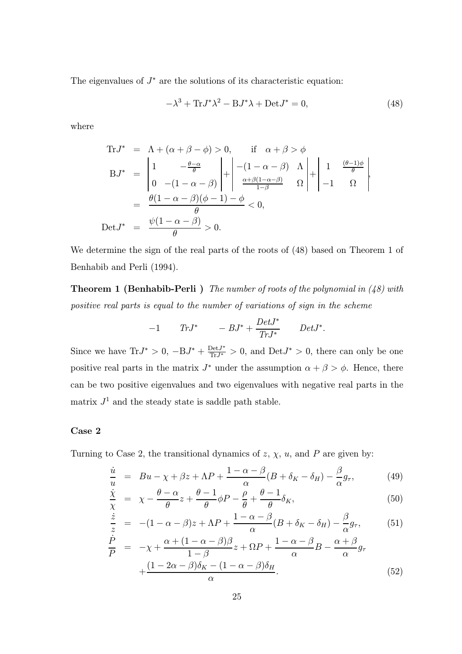The eigenvalues of  $J^*$  are the solutions of its characteristic equation:

$$
-\lambda^3 + \text{Tr} J^* \lambda^2 - \text{B} J^* \lambda + \text{Det} J^* = 0,
$$
\n(48)

where

$$
\begin{array}{rcl}\n\text{Tr}J^* &=& \Lambda + (\alpha + \beta - \phi) > 0, \qquad \text{if} \quad \alpha + \beta > \phi \\
\text{B}J^* &=& \left| \begin{array}{cc} 1 & -\frac{\theta - \alpha}{\theta} \\ 0 & -(1 - \alpha - \beta) \end{array} \right| + \left| \begin{array}{cc} -(1 - \alpha - \beta) & \Lambda \\ \frac{\alpha + \beta(1 - \alpha - \beta)}{1 - \beta} & \Omega \end{array} \right| + \left| \begin{array}{cc} 1 & \frac{(\theta - 1)\phi}{\theta} \\ -1 & \Omega \end{array} \right| \\
&=& \frac{\theta(1 - \alpha - \beta)(\phi - 1) - \phi}{\theta} < 0, \\
\text{Det}J^* &=& \frac{\psi(1 - \alpha - \beta)}{\theta} > 0.\n\end{array}
$$

We determine the sign of the real parts of the roots of (48) based on Theorem 1 of Benhabib and Perli (1994).

**Theorem 1 (Benhabib-Perli)** The number of roots of the polynomial in  $(48)$  with positive real parts is equal to the number of variations of sign in the scheme

$$
-1 \t Tr J^* \t -BJ^* + \frac{Det J^*}{Tr J^*} \t Det J^*.
$$

Since we have  $Tr J^* > 0$ ,  $-BJ^* + \frac{Det J^*}{Tr J^*} > 0$ , and  $Det J^* > 0$ , there can only be one positive real parts in the matrix  $J^*$  under the assumption  $\alpha + \beta > \phi$ . Hence, there can be two positive eigenvalues and two eigenvalues with negative real parts in the matrix  $J<sup>1</sup>$  and the steady state is saddle path stable.

#### Case 2

Turning to Case 2, the transitional dynamics of  $z$ ,  $\chi$ ,  $u$ , and  $P$  are given by:

$$
\frac{\dot{u}}{u} = Bu - \chi + \beta z + \Lambda P + \frac{1 - \alpha - \beta}{\alpha} (B + \delta_K - \delta_H) - \frac{\beta}{\alpha} g_\tau,\tag{49}
$$

$$
\frac{\dot{\chi}}{\chi} = \chi - \frac{\theta - \alpha}{\theta} z + \frac{\theta - 1}{\theta} \phi P - \frac{\rho}{\theta} + \frac{\theta - 1}{\theta} \delta_K,\tag{50}
$$

$$
\frac{\dot{z}}{z} = -(1 - \alpha - \beta)z + \Lambda P + \frac{1 - \alpha - \beta}{\alpha} (B + \delta_K - \delta_H) - \frac{\beta}{\alpha} g_\tau, \tag{51}
$$

$$
\frac{\dot{P}}{P} = -\chi + \frac{\alpha + (1 - \alpha - \beta)\beta}{1 - \beta} z + \Omega P + \frac{1 - \alpha - \beta}{\alpha} B - \frac{\alpha + \beta}{\alpha} g_{\tau} \n+ \frac{(1 - 2\alpha - \beta)\delta_K - (1 - \alpha - \beta)\delta_H}{\alpha}.
$$
\n(52)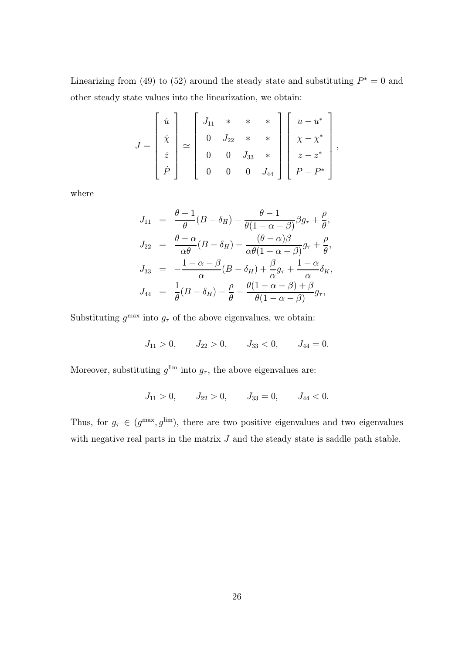Linearizing from (49) to (52) around the steady state and substituting  $P^* = 0$  and other steady state values into the linearization, we obtain:

$$
J = \begin{bmatrix} \dot{u} \\ \dot{x} \\ \dot{z} \\ \dot{P} \end{bmatrix} \simeq \begin{bmatrix} J_{11} & * & * & * \\ 0 & J_{22} & * & * \\ 0 & 0 & J_{33} & * \\ 0 & 0 & 0 & J_{44} \end{bmatrix} \begin{bmatrix} u - u^* \\ \chi - \chi^* \\ z - z^* \\ P - P^* \end{bmatrix},
$$

where

$$
J_{11} = \frac{\theta - 1}{\theta} (B - \delta_H) - \frac{\theta - 1}{\theta (1 - \alpha - \beta)} \beta g_{\tau} + \frac{\rho}{\theta},
$$
  
\n
$$
J_{22} = \frac{\theta - \alpha}{\alpha \theta} (B - \delta_H) - \frac{(\theta - \alpha)\beta}{\alpha \theta (1 - \alpha - \beta)} g_{\tau} + \frac{\rho}{\theta},
$$
  
\n
$$
J_{33} = -\frac{1 - \alpha - \beta}{\alpha} (B - \delta_H) + \frac{\beta}{\alpha} g_{\tau} + \frac{1 - \alpha}{\alpha} \delta_K,
$$
  
\n
$$
J_{44} = \frac{1}{\theta} (B - \delta_H) - \frac{\rho}{\theta} - \frac{\theta (1 - \alpha - \beta) + \beta}{\theta (1 - \alpha - \beta)} g_{\tau},
$$

Substituting  $g^{\text{max}}$  into  $g_{\tau}$  of the above eigenvalues, we obtain:

$$
J_{11} > 0
$$
,  $J_{22} > 0$ ,  $J_{33} < 0$ ,  $J_{44} = 0$ .

Moreover, substituting  $g^{\text{lim}}$  into  $g_{\tau}$ , the above eigenvalues are:

$$
J_{11} > 0, \qquad J_{22} > 0, \qquad J_{33} = 0, \qquad J_{44} < 0.
$$

Thus, for  $g_{\tau} \in (g^{\max}, g^{\lim})$ , there are two positive eigenvalues and two eigenvalues with negative real parts in the matrix  $J$  and the steady state is saddle path stable.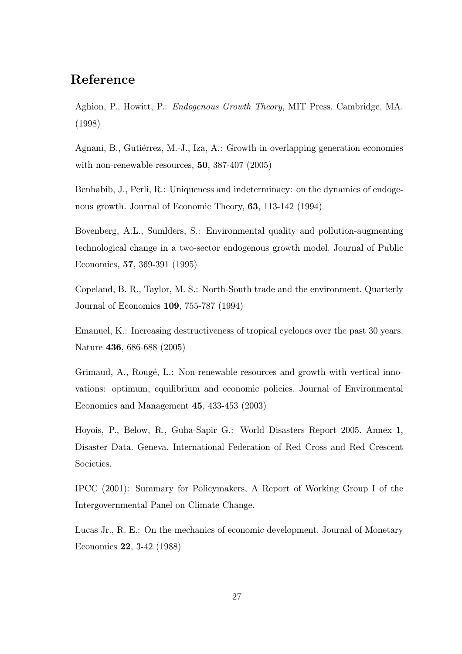## Reference

Aghion, P., Howitt, P.: Endogenous Growth Theory, MIT Press, Cambridge, MA. (1998)

Agnani, B., Gutiérrez, M.-J., Iza, A.: Growth in overlapping generation economies with non-renewable resources, 50, 387-407 (2005)

Benhabib, J., Perli, R.: Uniqueness and indeterminacy: on the dynamics of endogenous growth. Journal of Economic Theory, 63, 113-142 (1994)

Bovenberg, A.L., Sumlders, S.: Environmental quality and pollution-augmenting technological change in a two-sector endogenous growth model. Journal of Public Economics, 57, 369-391 (1995)

Copeland, B. R., Taylor, M. S.: North-South trade and the environment. Quarterly Journal of Economics 109, 755-787 (1994)

Emanuel, K.: Increasing destructiveness of tropical cyclones over the past 30 years. Nature 436, 686-688 (2005)

Grimaud, A., Rougé, L.: Non-renewable resources and growth with vertical innovations: optimum, equilibrium and economic policies. Journal of Environmental Economics and Management 45, 433-453 (2003)

Hoyois, P., Below, R., Guha-Sapir G.: World Disasters Report 2005. Annex 1, Disaster Data. Geneva. International Federation of Red Cross and Red Crescent Societies.

IPCC (2001): Summary for Policymakers, A Report of Working Group I of the Intergovernmental Panel on Climate Change.

Lucas Jr., R. E.: On the mechanics of economic development. Journal of Monetary Economics 22, 3-42 (1988)